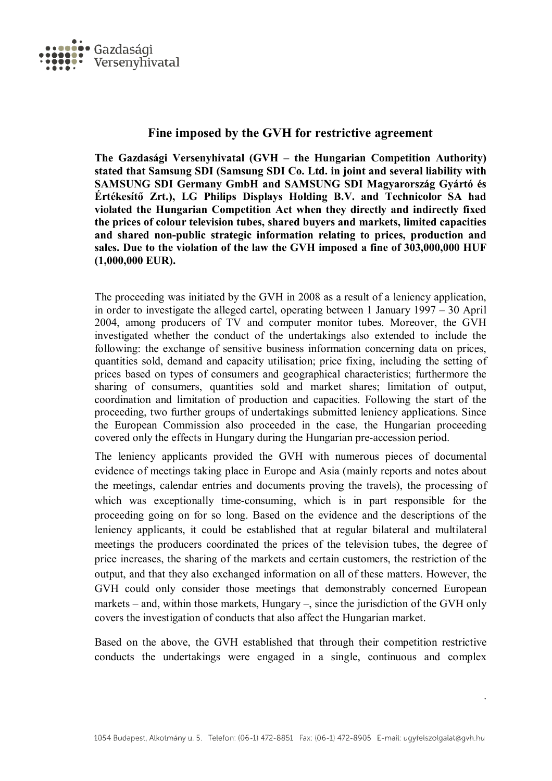

## **Fine imposed by the GVH for restrictive agreement**

**The Gazdasági Versenyhivatal (GVH – the Hungarian Competition Authority) stated that Samsung SDI (Samsung SDI Co. Ltd. in joint and several liability with SAMSUNG SDI Germany GmbH and SAMSUNG SDI Magyarország Gyártó és Értékesítő Zrt.), LG Philips Displays Holding B.V. and Technicolor SA had violated the Hungarian Competition Act when they directly and indirectly fixed the prices of colour television tubes, shared buyers and markets, limited capacities and shared non-public strategic information relating to prices, production and sales. Due to the violation of the law the GVH imposed a fine of 303,000,000 HUF (1,000,000 EUR).** 

The proceeding was initiated by the GVH in 2008 as a result of a leniency application, in order to investigate the alleged cartel, operating between 1 January 1997 – 30 April 2004, among producers of TV and computer monitor tubes. Moreover, the GVH investigated whether the conduct of the undertakings also extended to include the following: the exchange of sensitive business information concerning data on prices, quantities sold, demand and capacity utilisation; price fixing, including the setting of prices based on types of consumers and geographical characteristics; furthermore the sharing of consumers, quantities sold and market shares; limitation of output, coordination and limitation of production and capacities. Following the start of the proceeding, two further groups of undertakings submitted leniency applications. Since the European Commission also proceeded in the case, the Hungarian proceeding covered only the effects in Hungary during the Hungarian pre-accession period.

The leniency applicants provided the GVH with numerous pieces of documental evidence of meetings taking place in Europe and Asia (mainly reports and notes about the meetings, calendar entries and documents proving the travels), the processing of which was exceptionally time-consuming, which is in part responsible for the proceeding going on for so long. Based on the evidence and the descriptions of the leniency applicants, it could be established that at regular bilateral and multilateral meetings the producers coordinated the prices of the television tubes, the degree of price increases, the sharing of the markets and certain customers, the restriction of the output, and that they also exchanged information on all of these matters. However, the GVH could only consider those meetings that demonstrably concerned European markets – and, within those markets, Hungary –, since the jurisdiction of the GVH only covers the investigation of conducts that also affect the Hungarian market.

Based on the above, the GVH established that through their competition restrictive conducts the undertakings were engaged in a single, continuous and complex

.